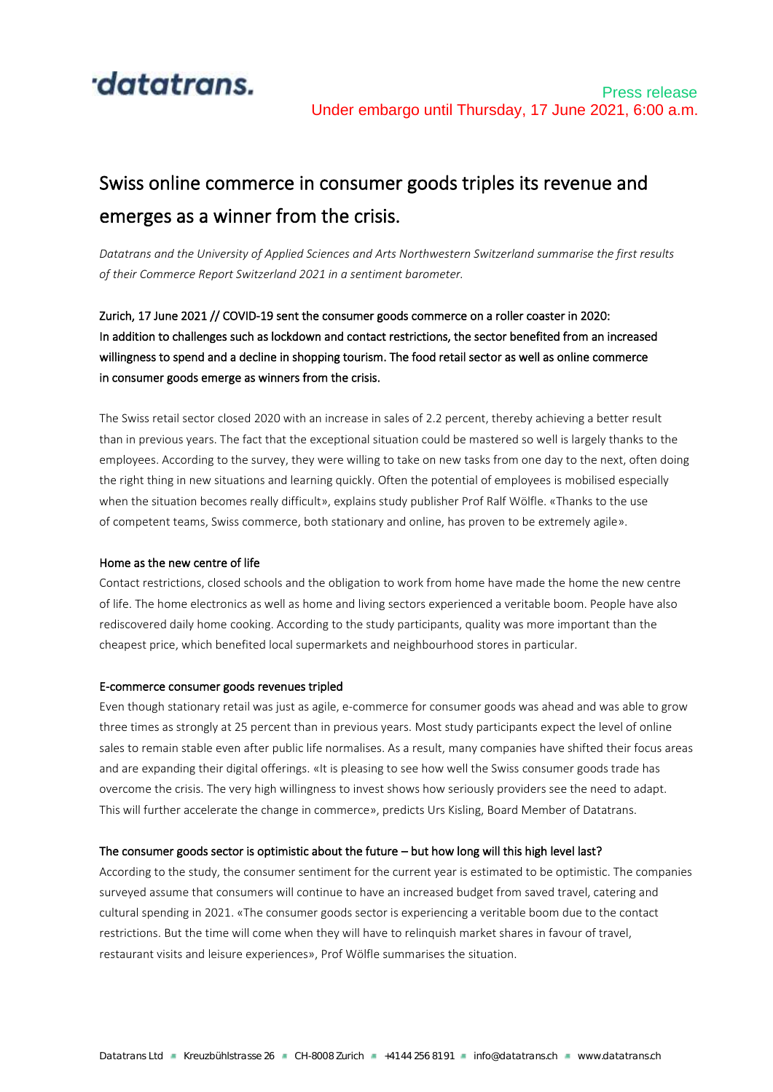

# Swiss online commerce in consumer goods triples its revenue and emerges as a winner from the crisis.

*Datatrans and the University of Applied Sciences and Arts Northwestern Switzerland summarise the first results of their Commerce Report Switzerland 2021 in a sentiment barometer.*

Zurich, 17 June 2021 // COVID-19 sent the consumer goods commerce on a roller coaster in 2020: In addition to challenges such as lockdown and contact restrictions, the sector benefited from an increased willingness to spend and a decline in shopping tourism. The food retail sector as well as online commerce in consumer goods emerge as winners from the crisis.

The Swiss retail sector closed 2020 with an increase in sales of 2.2 percent, thereby achieving a better result than in previous years. The fact that the exceptional situation could be mastered so well is largely thanks to the employees. According to the survey, they were willing to take on new tasks from one day to the next, often doing the right thing in new situations and learning quickly. Often the potential of employees is mobilised especially when the situation becomes really difficult», explains study publisher Prof Ralf Wölfle. «Thanks to the use of competent teams, Swiss commerce, both stationary and online, has proven to be extremely agile».

## Home as the new centre of life

Contact restrictions, closed schools and the obligation to work from home have made the home the new centre of life. The home electronics as well as home and living sectors experienced a veritable boom. People have also rediscovered daily home cooking. According to the study participants, quality was more important than the cheapest price, which benefited local supermarkets and neighbourhood stores in particular.

## E-commerce consumer goods revenues tripled

Even though stationary retail was just as agile, e-commerce for consumer goods was ahead and was able to grow three times as strongly at 25 percent than in previous years. Most study participants expect the level of online sales to remain stable even after public life normalises. As a result, many companies have shifted their focus areas and are expanding their digital offerings. «It is pleasing to see how well the Swiss consumer goods trade has overcome the crisis. The very high willingness to invest shows how seriously providers see the need to adapt. This will further accelerate the change in commerce», predicts Urs Kisling, Board Member of Datatrans.

## The consumer goods sector is optimistic about the future – but how long will this high level last?

According to the study, the consumer sentiment for the current year is estimated to be optimistic. The companies surveyed assume that consumers will continue to have an increased budget from saved travel, catering and cultural spending in 2021. «The consumer goods sector is experiencing a veritable boom due to the contact restrictions. But the time will come when they will have to relinquish market shares in favour of travel, restaurant visits and leisure experiences», Prof Wölfle summarises the situation.